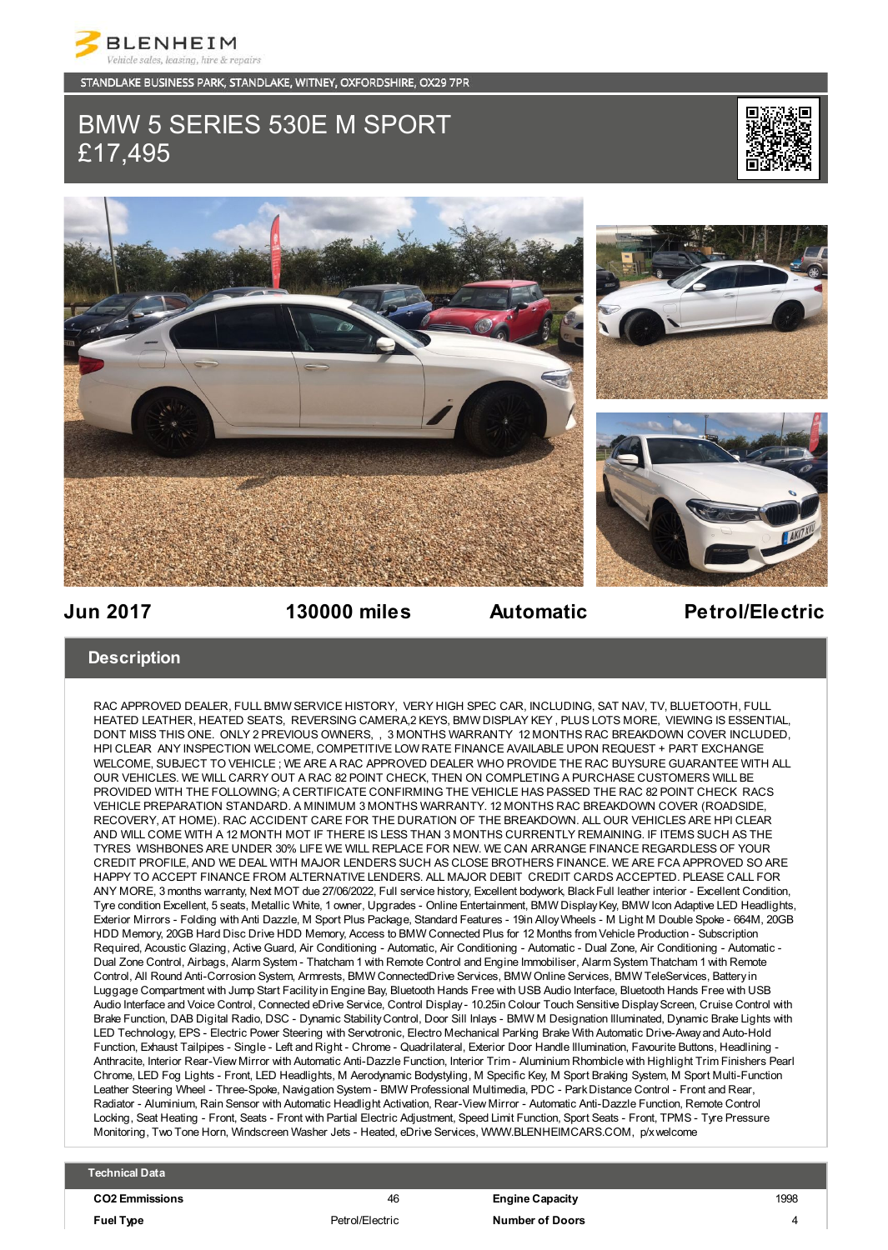

STANDLAKE BUSINESS PARK, STANDLAKE, WITNEY, OXFORDSHIRE, OX29 7PR

# BMW 5 SERIES 530E M SPORT £17,495





## **Jun 2017 130000 miles Automatic Petrol/Electric**

### **Description**

RAC APPROVED DEALER, FULL BMW SERVICE HISTORY, VERY HIGH SPEC CAR, INCLUDING, SAT NAV, TV, BLUETOOTH, FULL HEATED LEATHER, HEATED SEATS, REVERSING CAMERA,2 KEYS, BMW DISPLAY KEY , PLUS LOTS MORE, VIEWING IS ESSENTIAL, DONT MISS THIS ONE. ONLY 2 PREVIOUS OWNERS, , 3 MONTHS WARRANTY 12 MONTHS RAC BREAKDOWN COVER INCLUDED, HPI CLEAR ANY INSPECTION WELCOME, COMPETITIVE LOW RATE FINANCE AVAILABLE UPON REQUEST + PART EXCHANGE WELCOME, SUBJECT TO VEHICLE ; WE ARE A RAC APPROVED DEALER WHO PROVIDE THE RAC BUYSURE GUARANTEE WITH ALL OUR VEHICLES. WE WILL CARRY OUT A RAC 82 POINT CHECK, THEN ON COMPLETING A PURCHASE CUSTOMERS WILL BE PROVIDED WITH THE FOLLOWING; A CERTIFICATE CONFIRMING THE VEHICLE HAS PASSED THE RAC 82 POINT CHECK RACS VEHICLE PREPARATION STANDARD. A MINIMUM 3 MONTHS WARRANTY. 12 MONTHS RAC BREAKDOWN COVER (ROADSIDE, RECOVERY, AT HOME). RAC ACCIDENT CARE FOR THE DURATION OF THE BREAKDOWN. ALL OUR VEHICLES ARE HPI CLEAR AND WILL COME WITH A 12 MONTH MOT IF THERE IS LESS THAN 3 MONTHS CURRENTLY REMAINING. IF ITEMS SUCH AS THE TYRES WISHBONES ARE UNDER 30% LIFE WE WILL REPLACE FOR NEW. WE CAN ARRANGE FINANCE REGARDLESS OF YOUR CREDIT PROFILE, AND WE DEAL WITH MAJOR LENDERS SUCH AS CLOSE BROTHERS FINANCE. WE ARE FCA APPROVED SO ARE HAPPY TO ACCEPT FINANCE FROM ALTERNATIVE LENDERS. ALL MAJOR DEBIT CREDIT CARDS ACCEPTED. PLEASE CALL FOR ANY MORE, 3 months warranty, Next MOT due 27/06/2022, Full service history, Excellent bodywork, Black Full leather interior - Excellent Condition, Tyre condition Excellent, 5 seats, Metallic White, 1 owner, Upgrades - Online Entertainment, BMW Display Key, BMW Icon Adaptive LED Headlights, Exterior Mirrors - Folding with Anti Dazzle, M Sport Plus Package, Standard Features - 19in Alloy Wheels - M Light M Double Spoke - 664M, 20GB HDD Memory, 20GB Hard Disc Drive HDD Memory, Access to BMW Connected Plus for 12 Months from Vehicle Production - Subscription Required, Acoustic Glazing, Active Guard, Air Conditioning - Automatic, Air Conditioning - Automatic - Dual Zone, Air Conditioning - Automatic - Dual Zone Control, Airbags, Alarm System - Thatcham 1 with Remote Control and Engine Immobiliser, Alarm System Thatcham 1 with Remote Control, All Round Anti-Corrosion System, Armrests, BMW ConnectedDrive Services, BMW Online Services, BMW TeleServices, Battery in Luggage Compartment with Jump Start Facility in Engine Bay, Bluetooth Hands Free with USB Audio Interface, Bluetooth Hands Free with USB Audio Interface and Voice Control, Connected eDrive Service, Control Display - 10.25in Colour Touch Sensitive Display Screen, Cruise Control with Brake Function, DAB Digital Radio, DSC - Dynamic Stability Control, Door Sill Inlays - BMW M Designation Illuminated, Dynamic Brake Lights with LED Technology, EPS - Electric Power Steering with Servotronic, Electro Mechanical Parking Brake With Automatic Drive-Away and Auto-Hold Function, Exhaust Tailpipes - Single - Left and Right - Chrome - Quadrilateral, Exterior Door Handle Illumination, Favourite Buttons, Headlining - Anthracite, Interior Rear-View Mirror with Automatic Anti-Dazzle Function, Interior Trim - Aluminium Rhombicle with Highlight Trim Finishers Pearl Chrome, LED Fog Lights - Front, LED Headlights, M Aerodynamic Bodystyling, M Specific Key, M Sport Braking System, M Sport Multi-Function Leather Steering Wheel - Three-Spoke, Navigation System - BMW Professional Multimedia, PDC - Park Distance Control - Front and Rear, Radiator - Aluminium, Rain Sensor with Automatic Headlight Activation, Rear-View Mirror - Automatic Anti-Dazzle Function, Remote Control Locking, Seat Heating - Front, Seats - Front with Partial Electric Adjustment, Speed Limit Function, Sport Seats - Front, TPMS - Tyre Pressure Monitoring, Two Tone Horn, Windscreen Washer Jets - Heated, eDrive Services, WWW.BLENHEIMCARS.COM, p/x welcome

### **Technical Data**

**CO2 Emmissions** 46 **Engine Capacity** 1998 **Fuel Type** Petrol/Electric **Number of Doors** 4